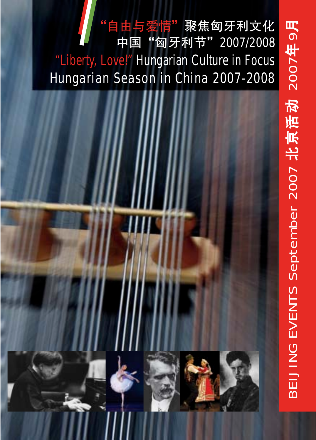# 自由与爱情"聚焦匈牙利文化 中国"匈牙利节" 2007/2008 "Liberty, Love!" Hungarian Culture in Focus Hungarian Season in China 2007-2008



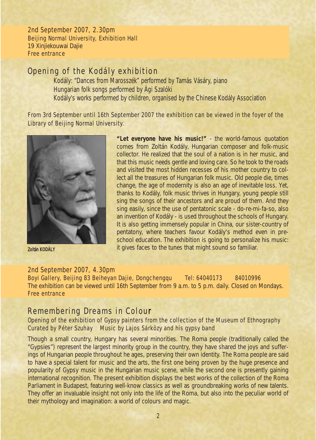2nd September 2007, 2.30pm Beijing Normal University, Exhibition Hall 19 Xinjiekouwai Dajie Free entrance

### Opening of the Kodály exhibition

Kodály: *"Dances from Marosszék"* performed by Tamás Vásáry, piano Hungarian folk songs performed by Ági Szalóki Kodály's works performed by children, organised by the Chinese Kodály Association

From 3rd September until 16th September 2007 the exhibition can be viewed in the foyer of the Library of Beijing Normal University.



*"Let everyone have his music!" -* the world-famous quotation comes from Zoltán Kodály, Hungarian composer and folk-music collector. He realized that the soul of a nation is in her music, and that this music needs gentle and loving care. So he took to the roads and visited the most hidden recesses of his mother country to collect all the treasures of Hungarian folk music. Old people die, times change, the age of modernity is also an age of inevitable loss. Yet, thanks to Kodály, folk music thrives in Hungary, young people still sing the songs of their ancestors and are proud of them. And they sing easily, since the use of pentatonic scale - do-re-mi-fa-so, also an invention of Kodály - is used throughout the schools of Hungary. It is also getting immensely popular in China, our sister-country of pentatony, where teachers favour Kodály's method even in preschool education. The exhibition is going to personalize his music: it gives faces to the tunes that might sound so familiar. Zoltán KODÁLY

#### 2nd September 2007, 4.30pm

Boyi Gallery, Beijing 83 Beiheyan Dajie, Dongchengqu Tel: 64040173 84010996 The exhibition can be viewed until 16th September from 9 a.m. to 5 p.m. daily. Closed on Mondays. Free entrance

### Remembering Dreams in Colour

#### Opening of the exhibition of Gypsy painters from the collection of the Museum of Ethnography *Curated by* Péter Szuhay *Music by* Lajos Sárközy and his gypsy band

Though a small country, Hungary has several minorities. The Roma people (traditionally called the "Gypsies") represent the largest minority group in the country, they have shared the joys and sufferings of Hungarian people throughout he ages, preserving their own identity. The Roma people are said to have a special talent for music and the arts, the first one being proven by the huge presence and popularity of Gypsy music in the Hungarian music scene, while the second one is presently gaining international recognition. The present exhibition displays the best works of the collection of the Roma Parliament in Budapest, featuring well-know classics as well as groundbreaking works of new talents. They offer an invaluable insight not only into the life of the Roma, but also into the peculiar world of their mythology and imagination: a world of colours and magic.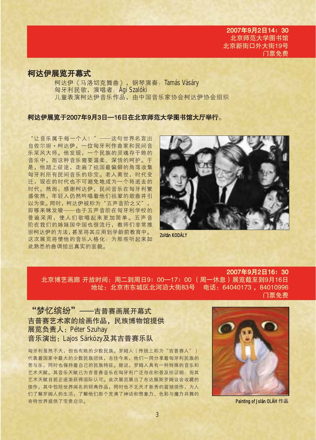### 柯达伊展览开幕式

柯达伊《马洛切克舞曲》, 钢琴演奏: Tamás Vásáry 匈牙利民歌, 演唱者: Ági Szalóki 儿童表演柯达伊音乐作品,由中国音乐家协会柯达伊协会组织

#### 柯达伊展览于2007年9月3日—16日在北京师范大学图书馆大厅举行。

"让音乐属干每一个人!" ——这句世界名言出 自佐尔坦·柯达伊, 一位匈牙利作曲家和民间音 乐采风大师。他发现,一个民族的灵魂存于她的 音乐中, 而这种音乐需要温柔、深情的呵护。干 是,他踏上征途,走遍了祖国最偏僻的角落收集 匈牙利所有民间音乐的珍宝。老人离世, 时代变 迁, 现在的时代也不可避免地成为一个将逝去的 时代。然而, 感谢柯达伊, 民间音乐在匈牙利繁 盛依然,年轻人仍然吟唱着他们祖辈的歌曲并引 以为荣。同时, 柯达伊被称为"五声音阶之父", 即哆来咪发唆——由于五声音阶在匈牙利学校的 普遍采用, 使人们歌唱起来更加简单。五声音 阶在我们的姊妹国中国也很流行, 教师们非常推 崇柯达伊的方法, 甚至将其应用到学龄前教育中。 这次展览将使他的音乐人格化: 为那些听起来如 此熟悉的曲调绘出真实的面貌。



Zoltán KODÁLY

#### 2007年9月2日16: 30 北京博艺画廊 开放时间: 周二到周日9: 00—17: 00 (周一休息)展览截至到9月16日 地址: 北京市东城区北河沿大街83号 电话: 64040173, 84010996

门票免费

"梦忆缤纷" --吉普赛画展开幕式 吉普赛艺术家的绘画作品, 民族博物馆提供 展览负责人: Péter Szuhay 音乐演出: Lajos Sárközy及其吉普赛乐队

匈牙利虽然不大,但也有她的少数民族。罗姆人(传统上称为"吉普赛人") 代表着国家中最大的少数民族团体,古往今来,他们一同分享着匈牙利民族的 苦与乐,同时也保持着自己的民族特征。据说,罗姆人具有一种特殊的音乐和 艺术天赋。其音乐天赋已为吉普赛音乐在匈牙利广泛存在和普及所证明:而其 艺术天赋目前正逐渐获得国际认可。此次展览展出了布达佩斯罗姆议会收藏的 佳作,其中包括世界闻名的经典作品,同时也不乏天才新秀的震撼佳作,为人 们了解罗姆人的生活,了解他们那个充满了神话和想象力、色彩与魔力共舞的 奇特世界提供了宝贵启示。



Painting of Jolán OLAH 作品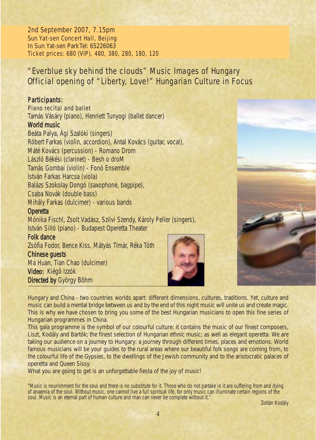2nd September 2007, 7.15pm Sun Yat-sen Concert Hall, Beijing In Sun Yat-sen ParkTel: 65226063 Ticket prices: 680 (VIP), 480, 380, 280, 180, 120

# *"Everblue sky behind the clouds"* Music Images of Hungary Official opening of "Liberty, Love!" Hungarian Culture in Focus

#### Participants:

*Piano recital and ballet*

Tamás Vásáry (piano), Henriett Tunyogi (ballet dancer)

#### *World music*

Beáta Palya, Ági Szalóki (singers) Róbert Farkas (violin, accordion), Antal Kovács (guitar, vocal), Máté Kovács (percussion) *- Romano Drom* László Békési (clarinet) - *Besh o droM* Tamás Gombai (violin) - *Fonó Ensemble* István Farkas Harcsa (viola) Balázs Szokolay Dongó (saxophone, bagpipe), Csaba Novák (double bass) Mihály Farkas (dulcimer) - various bands

#### *Operetta*

Mónika Fischl, Zsolt Vadász, Szilvi Szendy, Károly Peller (singers), István Silló (piano) *- Budapest Operetta Theater*

#### *Folk dance*

Zsófia Fodor, Bence Kiss, Mátyás Tímár, Réka Tóth

#### *Chinese guests*

Ma Huan, Tian Chao (dulcimer) *Video:* Kiégõ Izzók *Directed by* György Böhm



Hungary and China - two countries worlds apart: different dimensions, cultures, traditions. Yet, culture and music can build a mental bridge between us and by the end of this night music will unite us and create magic. This is why we have chosen to bring you some of the best Hungarian musicians to open this fine series of Hungarian programmes in China.

This gala programme is the symbol of our colourful culture: it contains the music of our finest composers, Liszt, Kodály and Bartók; the finest selection of Hungarian ethnic music; as well as elegant operetta. We are taking our audience on a journey to Hungary: a journey through different times, places and emotions. World famous musicians will be your guides to the rural areas where our beautiful folk songs are coming from, to the colourful life of the Gypsies, to the dwellings of the Jewish community and to the aristocratic palaces of operetta and Queen Sissy.

What you are going to get is an unforgettable fiesta of the joy of music!

*"Music is nourishment for the soul and there is no substitute for it. Those who do not partake in it are suffering from and dying of anaemia of the soul. Without music, one cannot live a full spiritual life, for only music can illuminate certain regions of the soul. Music is an eternal part of human culture and man can never be complete without it." Zoltán Kodály*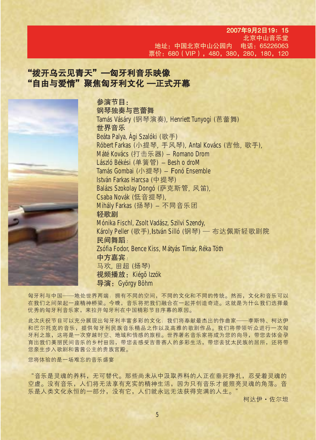2007年9月2日19: 15 北京中山音乐堂 地址:中国北京中 电话: 65226063 票价: 680 (VIP), 480, 380, 280, 180, 120

# "拨开乌云见青天"—匈牙利音乐映像 "自由与爱情"聚焦匈牙利文化 一正式开幕

参演节目: 钢琴独奏与芭蕾舞 Tamás Vásáry (钢琴演奏), Henriett Tunyogi (芭蕾舞) 世界音乐 Beáta Palya, Ági Szalóki (歌手) Róbert Farkas (小提琴, 手风琴), Antal Kovács (吉他, 歌手), Máté Kovács (打击乐器) – *Romano Drom* László Békési (单簧管) – *Besh o droM* Tamás Gombai (\_©琴) - *Fonó Ensemble* István Farkas Harcsa (中提琴) Balázs Szokolay Dongó (萨克斯管, 风笛), Csaba Novák (低音提琴), Mihály Farkas (扬琴) - 不同音乐团 轻歌剧 Mónika Fischl, Zsolt Vadász, Szilvi Szendy, Károly Peller (歌手),István Silló (钢琴) — 布达佩斯轻歌剧院 民间舞蹈: Zsófia Fodor, Bence Kiss, Mátyás Tímár, Réka Tóth 中方嘉宾: 马欢, 田超 (扬琴) 视频播放: Kiégō Izzók 导演: György Böhm

匈牙利与中国——地处世界两端:拥有不同的空间,不同的文化和不同的传统。然而,文化和音乐可以 在我们之间架起一座精神桥梁。今晚,音乐将把我们融合在一起并创造奇迹。这就是为什么我们选择最 优秀的匈牙利音乐家,来拉开匈牙利在中国精彩节目序幕的原因。

此次庆祝节目可以充分展现出匈牙利丰富多彩的文化:我们将奉献最杰出的作曲家——李斯特、柯达伊 和巴尔托克的音乐,提供匈牙利民族音乐精品之作以及高雅的歌剧作品。我们将带领听众进行一次匈 牙利之旅,这将是一次穿越时空、地域和情感的旅程。世界著名音乐家将成为您的向导,带您去体会孕 育出我们美丽民间音乐的乡村田园,带您去感受吉普赛人的多彩生活,带您去犹太民族的居所,还将带 您亲生步入歌剧和茜茜公主的贵族宫殿。

您将体验的是一场难忘的音乐盛宴

"音乐是灵魂的养料,无元替代。那些尚未从中汲取养料的人正在垂死挣扎,忍受着灵魂的 空虚。没有音乐,人们将无法享有充实的精神生活,因为只有音乐才能照亮灵魂的角落。音 乐是人类文化永恒的一部分,没有它,人们就永远无法获得完满的人生。

柯达伊·佐尔坦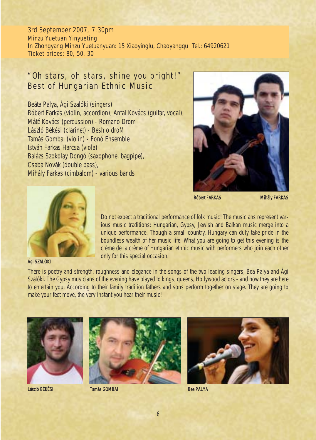3rd September 2007, 7.30pm Minzu Yuetuan Yinyueting In Zhongyang Minzu Yuetuanyuan: 15 Xiaoyinglu, Chaoyangqu Tel.: 64920621 Ticket prices: 80, 50, 30

### *"Oh stars, oh stars, shine you bright!"* Best of Hungarian Ethnic Music

Beáta Palya, Ági Szalóki (singers) Róbert Farkas (violin, accordion), Antal Kovács (guitar, vocal), Máté Kovács (percussion) - *Romano Drom*  László Békési (clarinet) - *Besh o droM* Tamás Gombai (violin) - *Fonó Ensemble* István Farkas Harcsa (viola) Balázs Szokolay Dongó (saxophone, bagpipe), Csaba Novák (double bass), Mihály Farkas (cimbalom) - *various bands*



Róbert FARKAS Mihály FARKAS



#### Ági SZALÓKI

Do not expect a traditional performance of folk music! The musicians represent various music traditions: Hungarian, Gypsy, Jewish and Balkan music merge into a unique performance. Though a small country, Hungary can duly take pride in the boundless wealth of her music life. What you are going to get this evening is the crème de la crème of Hungarian ethnic music with performers who join each other only for this special occasion.

There is poetry and strength, roughness and elegance in the songs of the two leading singers, Bea Palya and Ági Szalóki. The Gypsy musicians of the evening have played to kings, queens, Hollywood actors - and now they are here to entertain you. According to their family tradition fathers and sons perform together on stage. They are going to make your feet move, the very instant you hear their music!





László BÉKÉSI Tamás GOMBAI



Bea PALYA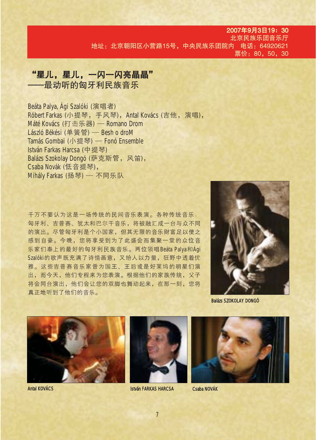#### 2007年9月3日19: 30 北京民族乐团音乐厅 地址: 北京朝阳区小营路15号, 中央民族乐团院内 电话: 64920621 票价: 80, 50, 30

# "星儿,星儿,一闪一闪亮晶晶" 一最动听的匈牙利民族音乐

Beáta Palya, Ági Szalóki (演唱者) Róbert Farkas (小提琴, 手风琴), Antal Kovács (吉他, 演唱), Máté Kovács (打击乐器) — Romano Drom László Békési (单簧管) — Besh o droM Tamás Gombai (小提琴) — Fonó Ensemble István Farkas Harcsa (中提琴) Balázs Szokolay Dongó (萨克斯管, 风笛), Csaba Novák (低音提琴), Mihály Farkas (扬琴) — 不同乐队

千万不要认为这是一场传统的民间音乐表演。各种传统音乐: 匈牙利、吉普赛、犹太和巴尔干音乐,将被融汇成一台与众不同 的演出。尽管匈牙利是个小国家,但其无限的音乐财富足以使之 感到自豪。今晚,您将享受到为了此盛会而集聚一堂的众位音 乐家们奉上的最好的匈牙利民族音乐。两位领唱Beáta Palya和Ági Szalóki的歌声既充满了诗情画意, 又给人以力量, 狂野中诱着优 雅。这些吉普赛音乐家曾为国王、王后或是好莱坞的明星们演 出,而今天,他们专程来为您表演。根据他们的家族传统,父子 将会同台演出,他们会让您的双脚也舞动起来,在那一刻,您将 真正地听到了他们的音乐。



**Balázs SZOKOLAY DONGÓ** 



**Antal KOVÁCS** 



**István FARKAS HARCSA** 



Csaba NOVÁK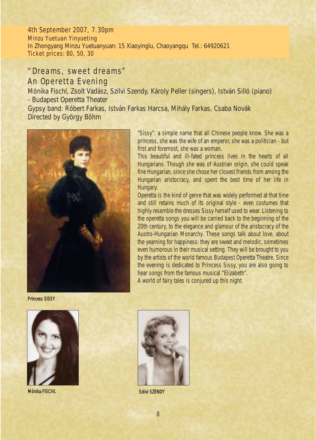4th September 2007, 7.30pm Minzu Yuetuan Yinyueting In Zhongyang Minzu Yuetuanyuan: 15 Xiaoyinglu, Chaoyangqu Tel.: 64920621 Ticket prices: 80, 50, 30

### *"Dreams, sweet dreams"* An Operetta Evening

Mónika Fischl, Zsolt Vadász, Szilvi Szendy, Károly Peller (singers), István Silló (piano) *- Budapest Operetta Theater*

Gypsy band: Róbert Farkas, István Farkas Harcsa, Mihály Farkas, Csaba Novák *Directed by* György Böhm



"Sissy": a simple name that all Chinese people know. She was a princess, she was the wife of an emperor, she was a politician - but first and foremost, she was a woman.

This beautiful and ill-fated princess lives in the hearts of all Hungarians. Though she was of Austrian origin, she could speak fine Hungarian, since she chose her closest friends from among the Hungarian aristocracy, and spent the best time of her life in Hungary.

Operetta is the kind of genre that was widely performed at that time and still retains much of its original style - even costumes that highly resemble the dresses Sissy herself used to wear. Listening to the operetta songs you will be carried back to the beginning of the 20th century, to the elegance and glamour of the aristocracy of the Austro-Hungarian Monarchy. These songs talk about love, about the yearning for happiness: they are sweet and melodic, sometimes even humorous in their musical setting. They will be brought to you by the artists of the world famous Budapest Operetta Theatre. Since the evening is dedicated to Princess Sissy, you are also going to hear songs from the famous musical "Elizabeth".

A world of fairy tales is conjured up this night.

Princess SISSY



Mónika FISCHL Szilvi SZENDY

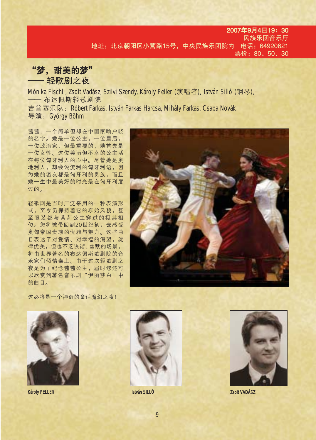#### 2007年9月4日19: 30 民族乐团音乐厅 地址: 北京朝阳区小营路15号, 中央民族乐团院内 电话: 64920621 票价: 80、50、30

"梦,甜美的梦" - 轻歌剧之夜

Mónika Fischl, Zsolt Vadász, Szilvi Szendy, Károly Peller (演唱者), István Silló (钢琴), —— 布达佩斯轻歌剧院

吉普赛乐队: Róbert Farkas, István Farkas Harcsa, Mihály Farkas, Csaba Novák 导演: György Böhm

茜茜: 一个简单但却在中国家喻户晓 的名字。她是一位公主,一位皇后, 一位政治家, 但最重要的, 她首先是 一位女性。这位美丽但不幸的公主活 在每位匈牙利人的心中。尽管她是奥 地利人, 却会说流利的匈牙利语, 因 为她的密友都是匈牙利的贵族,而且 她一生中最美好的时光是在匈牙利度 讨的。

轻歌剧是当时广泛采用的一种表演形 式,至今仍保持着它的原始风貌,甚 至服装都与茜茜公主穿过的极其相 似。您将被带回到20世纪初,去感受 奥匈帝国贵族的优雅与魅力。这些曲 目表达了对爱情、对幸福的渴望, 旋 律优美,但也不乏诙谐、幽默的场景, 将由世界著名的布达佩斯歌剧院的音 乐家们倾情奉上。由于这次轻歌剧之 夜是为了纪念茜茜公主, 届时您还可 以欣赏到著名音乐剧"伊丽莎白"中 的曲目。



这必将是一个神奇的童话魔幻之夜!



**Károly PELLER** 



**István SILLÓ** 



Zsolt VADÁSZ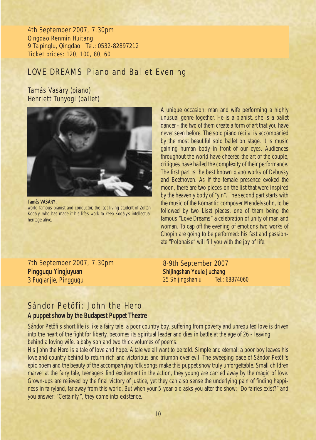4th September 2007, 7.30pm Qingdao Renmin Huitang 9 Taipinglu, Qingdao Tel.: 0532-82897212 Ticket prices: 120, 100, 80, 60

### *LOVE DREAMS* Piano and Ballet Evening

Tamás Vásáry (piano) Henriett Tunyogi (ballet)



Tamás VÁSÁRY, world-famous pianist and conductor, the last living student of Zoltán Kodály, who has made it his life's work to keep Kodály's intellectual heritage alive.

7th September 2007, 7.30pm Pingguqu Yingjuyuan 3 Fuqianjie, Pingguqu

A unique occasion: man and wife performing a highly unusual genre together. He is a pianist, she is a ballet dancer - the two of them create a form of art that you have never seen before. The solo piano recital is accompanied by the most beautiful solo ballet on stage. It is music gaining human body in front of our eyes. Audiences throughout the world have cheered the art of the couple, critiques have hailed the complexity of their performance. The first part is the best known piano works of Debussy and Beethoven. As if the female presence evoked the moon, there are two pieces on the list that were inspired by the heavenly body of "yin". The second part starts with the music of the Romantic composer Mendelssohn, to be followed by two Liszt pieces, one of them being the famous *"Love Dreams"* a celebration of unity of man and woman. To cap off the evening of emotions two works of Chopin are going to be performed: his fast and passionate *"Polonaise"* will fill you with the joy of life.

8-9th September 2007 Shijingshan Youle Juchang 25 Shijingshanlu Tel.: 68874060

### Sándor Petõfi: *John the Hero* A puppet show by the Budapest Puppet Theatre

Sándor Petõfi's short life is like a fairy tale: a poor country boy, suffering from poverty and unrequited love is driven into the heart of the fight for liberty, becomes its spiritual leader and dies in battle at the age of 26 - leaving behind a loving wife, a baby son and two thick volumes of poems.

His *John the Hero* is a tale of love and hope. A tale we all want to be told. Simple and eternal: a poor boy leaves his love and country behind to return rich and victorious and triumph over evil. The sweeping pace of Sándor Petõfi's epic poem and the beauty of the accompanying folk songs make this puppet show truly unforgettable. Small children marvel at the fairy tale, teenagers find excitement in the action, they young are carried away by the magic of love. Grown-ups are relieved by the final victory of justice, yet they can also sense the underlying pain of finding happiness in fairyland, far away from this world. But when your 5-year-old asks you after the show: "Do fairies exist?" and you answer: "Certainly.", they come into existence.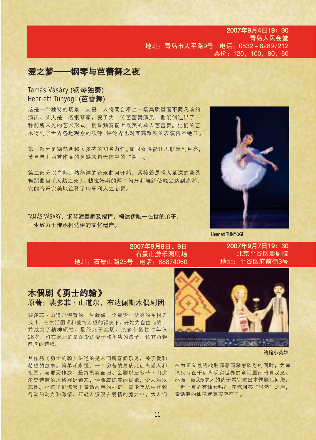#### 2007年9月4日19: 30 青岛人民会堂 地址: 青岛市太平路9号 电话: 0532-82897212 票价: 120, 100, 80, 60

# 爱之梦——钢琴与芭蕾舞之夜

Tamás Vásáry (钢琴独奏) Henriett Tunyogi (芭蕾舞)

这是一个独特的场景: 夫妻二人将同台奉上一场高质量而不同凡响的 演出。丈夫是一名钢琴家, 妻子为一位芭蕾舞演员, 他们创造出了一 种前所未见的艺术形式:钢琴独奏配上最美的单人芭蕾舞。他们的艺 术得到了世界各地观众的欢呼,评论界也对其高难度的表演赞不绝口。

第一部分是德彪西和贝多芬的知名力作。如同女性能让人联想到月亮, 节目单上两首作品的灵感来自天体中的"阴"。

第二部分以肖邦耳熟能详的音乐曲目开始,紧接着是感人至深的圣桑 舞蹈曲目《天鹅之死》。勃拉姆斯的两个匈牙利舞蹈使晚会达到高潮, 它的音乐完美地诠释了匈牙利人之心灵。

TAMÁS VÁSÁRY. 钢琴演奏家及指挥, 柯达伊唯一在世的弟子, 一生致力干传承柯达伊的文化遗产。



**Henriett TUNYOGI** 

2007年9月8日、9日 石景山游乐园剧场 地址: 石景山路25号 电话: 68874060

2007年9月7日19: 30 北京平谷区影剧院 地址: 平谷区府前街3号



裴多菲·山道尔短暂的一生就像一个童话, 贫穷的乡村男 孩儿, 在生活困顿和爱情无望的驱使下, 开始为自由而战, 并成为了精神领袖, 最终死于战场。裴多菲牺牲时年仅 26岁,留在身后的是深爱的妻子和年幼的孩子,还有两卷 厚厚的诗稿。

其作品《勇士约翰》讲述的是人们所喜闻乐见,关于爱和 希望的故事。简单却永恒: 一个穷苦的男孩儿远离爱人和 祖国,与邪恶作战,最终凯旋而归。全剧以裴多菲·山道 尔史诗般的风格娓娓道来,伴随着优美的民歌,令人难以 忘怀。小孩子们惊叹于童话故事的神奇,青少年从中找到 行动的动力和激情, 年轻人沉浸在爱情的魔力中, 大人们



约翰小英雄

在为正义最终战胜邪恶而深感欣慰的同时, 为幸 福只存在于远离现实世界的童话里而暗自叹息。 然而,当您5岁大的孩子看完这出木偶剧后问您: "世上真的有仙女吗?"在您回答"当然"之后, 童话般的仙境就真实存在了。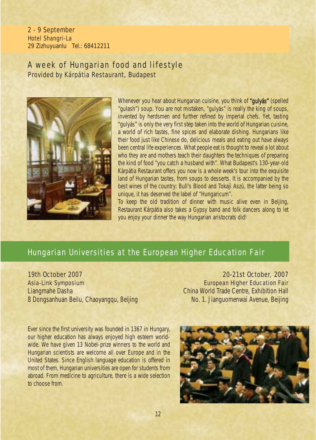2 - 9 September Hotel Shangri-La 29 Zizhuyuanlu Tel.: 68412211

### A week of Hungarian food and lifestyle Provided by Kárpátia Restaurant, Budapest



Whenever you hear about Hungarian cuisine, you think of "**gulyás**" (spelled "gulash") soup. You are not mistaken, "gulyás" is really the king of soups, invented by herdsmen and further refined by imperial chefs. Yet, tasting "gulyás" is only the very first step taken into the world of Hungarian cuisine, a world of rich tastes, fine spices and elaborate dishing. Hungarians like their food just like Chinese do, delicious meals and eating out have always been central life experiences. What people eat is thought to reveal a lot about who they are and mothers teach their daughters the techniques of preparing the kind of food "you catch a husband with". What Budapest's 130-year-old Kárpátia Restaurant offers you now is a whole week's tour into the exquisite land of Hungarian tastes, from soups to desserts. It is accompanied by the best wines of the country: Bull's Blood and Tokaji Aszú, the latter being so unique, it has deserved the label of "Hungaricum".

To keep the old tradition of dinner with music alive even in Beijing, Restaurant Kárpátia also takes a Gypsy band and folk dancers along to let you enjoy your dinner the way Hungarian aristocrats did!

### Hungarian Universities at the European Higher Education Fair

19th October 2007 Asia-Link Symposium Liangmahe Dasha 8 Dongsanhuan Beilu, Chaoyangqu, Beijing

20-21st October, 2007 European Higher Education Fair China World Trade Centre, Exhibition Hall No. 1. Jianguomenwai Avenue, Beijing

Ever since the first university was founded in 1367 in Hungary, our higher education has always enjoyed high esteem worldwide. We have given 13 Nobel-prize winners to the world and Hungarian scientists are welcome all over Europe and in the United States. Since English language education is offered in most of them, Hungarian universities are open for students from abroad. From medicine to agriculture, there is a wide selection to choose from.

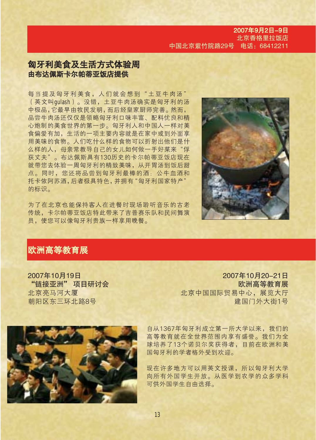2007年9月2日-9日 北京香格里拉饭店 中国北京紫竹院路29号 电话: 68412211

### 匈牙利美食及生活方式体验周 由布达佩斯卡尔帕蒂亚饭店提供

每当提及匈牙利美食,人们就会想到"土豆牛肉汤" (英文叫qulash)。没错,土豆牛肉汤确实是匈牙利的汤 中极品,它最早由牧民发明,而后经皇家厨师完善。然而, 品尝牛肉汤还仅仅是领略匈牙利口味丰富、配料优良和精 心炮制的美食世界的第一步。匈牙利人和中国人一样对美 食偏爱有加,生活的一项主要内容就是在家中或到外面享 用美味的食物。人们吃什么样的食物可以折射出他们是什 么样的人, 母亲常教导自己的女儿如何做一手好菜来"俘 获丈夫"。布达佩斯具有130历史的卡尔帕蒂亚饭店现在 就带您去体验一周匈牙利的精致美味, 从开胃汤到饭后甜 点。同时,您还将品尝到匈牙利最棒的酒:公牛血酒和 托卡依阿苏酒,后者极具特色,并拥有"匈牙利国家特产" 的标识。

为了在北京也能保持客人在进餐时现场聆听音乐的古老 传统, 卡尔帕蒂亚饭店特此带来了吉普赛乐队和民间舞演 员,使您可以像匈牙利贵族一样享用晚餐。



### 欧洲高等教育展

2007年10月19日 "链接亚洲"项目研讨会 北京亮马河大厦 朝阳区东三环北路8号

2007年10月20-21日 欧洲高等教育展 北京中国国际贸易中心,展览大厅 建国门外大街1号



自从1367年匈牙利成立第一所大学以来,我们的 高等教育就在全世界范围内享有盛誉。我们为全 球培养了13个诺贝尔奖获得者, 目前在欧洲和美 国匈牙利的学者格外受到欢迎。

现在许多地方可以用英文授课, 所以匈牙利大学 向所有外国学生开放。从医学到农学的众多学科 可供外国学生自由选择。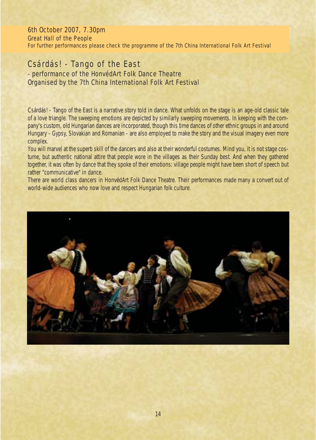6th October 2007, 7.30pm Great Hall of the People For further performances please check the programme of the 7th China International Folk Art Festival

### *Csárdás! - Tango of the East*

### - performance of the HonvédArt Folk Dance Theatre Organised by the 7th China International Folk Art Festival

*Csárdás! - Tango of the East* is a narrative story told in dance. What unfolds on the stage is an age-old classic tale of a love triangle. The sweeping emotions are depicted by similarly sweeping movements. In keeping with the company's custom, old Hungarian dances are incorporated, though this time dances of other ethnic groups in and around Hungary - Gypsy, Slovakian and Romanian - are also employed to make the story and the visual imagery even more complex.

You will marvel at the superb skill of the dancers and also at their wonderful costumes. Mind you, it is not stage costume, but authentic national attire that people wore in the villages as their Sunday best. And when they gathered together, it was often by dance that they spoke of their emotions: village people might have been short of speech but rather "communicative" in dance.

There are world class dancers in HonvédArt Folk Dance Theatre. Their performances made many a convert out of world-wide audiences who now love and respect Hungarian folk culture.

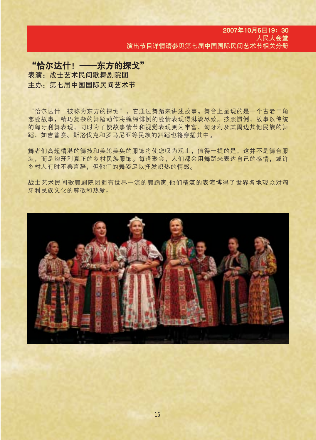#### 2007年10月6日19: 30 人民大会堂 演出节目详情请参见第七届中国国际民间艺术节相关分册

# "恰尔达什! -- 东方的探戈" 表演: 战士艺术民间歌舞剧院团 主办: 第七届中国国际民间艺术节

"恰尔达什!被称为东方的探戈",它通过舞蹈来讲述故事。舞台上呈现的是一个古老三角 恋爱故事,精巧复杂的舞蹈动作将缠绵悱恻的爱情表现得淋漓尽致。按照惯例,故事以传统 的匈牙利舞表现,同时为了使故事情节和视觉表现更为丰富,匈牙利及其周边其他民族的舞 蹈,如吉普赛、斯洛伐克和罗马尼亚等民族的舞蹈也将穿插其中。

舞者们高超精湛的舞技和美轮美奂的服饰将使您叹为观止,值得一提的是,这并不是舞台服 装,而是匈牙利真正的乡村民族服饰。每逢聚会,人们都会用舞蹈来表达自己的感情,或许 乡村人有时不善言辞,但他们的舞姿足以抒发炽热的情感。

战士艺术民间歌舞剧院团拥有世界一流的舞蹈家,他们精湛的表演博得了世界各地观众对匈 牙利民族文化的尊敬和热爱。

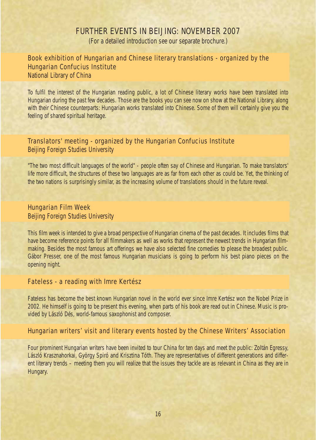### FURTHER EVENTS IN BEIJING: NOVEMBER 2007

(For a detailed introduction see our separate brochure.)

### Book exhibition of Hungarian and Chinese literary translations - organized by the Hungarian Confucius Institute

National Library of China

*To fulfil the interest of the Hungarian reading public, a lot of Chinese literary works have been translated into Hungarian during the past few decades. Those are the books you can see now on show at the National Library, along with their Chinese counterparts: Hungarian works translated into Chinese. Some of them will certainly give you the feeling of shared spiritual heritage.*

#### Translators' meeting - organized by the Hungarian Confucius Institute Beijing Foreign Studies University

*"The two most difficult languages of the world" - people often say of Chinese and Hungarian. To make translators' life more difficult, the structures of these two languages are as far from each other as could be. Yet, the thinking of the two nations is surprisingly similar, as the increasing volume of translations should in the future reveal.*

#### Hungarian Film Week

Beijing Foreign Studies University

*This film week is intended to give a broad perspective of Hungarian cinema of the past decades. It includes films that have become reference points for all filmmakers as well as works that represent the newest trends in Hungarian filmmaking. Besides the most famous art offerings we have also selected fine comedies to please the broadest public. Gábor Presser, one of the most famous Hungarian musicians is going to perform his best piano pieces on the opening night.*

#### *Fateless* - a reading with Imre Kertész

Fateless *has become the best known Hungarian novel in the world ever since Imre Kertész won the Nobel Prize in 2002. He himself is going to be present this evening, when parts of his book are read out in Chinese. Music is provided by László Dés, world-famous saxophonist and composer.*

#### Hungarian writers' visit and literary events hosted by the Chinese Writers' Association

*Four prominent Hungarian writers have been invited to tour China for ten days and meet the public: Zoltán Egressy, László Krasznahorkai, György Spiró and Krisztina Tóth. They are representatives of different generations and different literary trends – meeting them you will realize that the issues they tackle are as relevant in China as they are in Hungary.*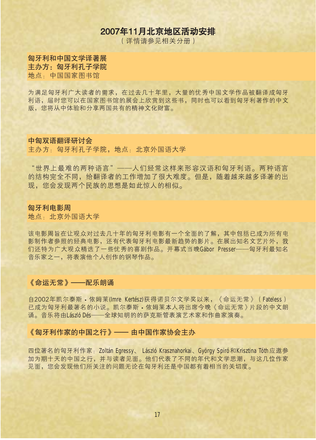# 2007年11月北京地区活动安排

(详情请参见相关分册)

匈牙利和中国文学译著展 主办方: 匈牙利孔子学院 地点, 中国国家图书馆

为满足匈牙利广大读者的需求,在过去几十年里,大量的优秀中国文学作品被翻译成匈牙 利语,届时您可以在国家图书馆的展会上欣赏到这些书,同时也可以看到匈牙利著作的中文 版, 您将从中体验和分享两国共有的精神文化财富。

#### 中匈双语翻译研讨会

主办方: 匈牙利孔子学院, 地点: 北京外国语大学

"世界上最难的两种语言"——人们经常这样来形容汉语和匈牙利语。两种语言 的结构完全不同,给翻译者的工作增加了很大难度。但是,随着越来越多译著的出 现, 您会发现两个民族的思想是如此惊人的相似。

#### 匈牙利电影周

地点, 北京外国语大学

该电影周旨在让观众对过去几十年的匈牙利电影有一个全面的了解,其中包括已成为所有电 影制作者参照的经典电影,还有代表匈牙利电影最新趋势的影片。在展出知名文艺片外,我 们还特为广大观众精选了一些优秀的喜剧作品。开幕式当晚Gábor Presser——匈牙利最知名 音乐家之一,将表演他个人创作的钢琴作品。

#### 《命运无常》——配乐朗诵

自2002年凯尔泰斯 • 依姆莱(Imre Kertész)获得诺贝尔文学奖以来, 《命运无常》 (Fateless) 已成为匈牙利最著名的小说。凯尔泰斯·依姆莱本人将出席今晚《命运无常》片段的中文朗 诵。音乐将由László Dés——全球知明的的萨克斯管表演艺术家和作曲家演奏。

#### 《匈牙利作家的中国之行》—— 由中国作家协会主办

四位著名的匈牙利作家:Zoltán Egressy、 László Krasznahorkai、György Spiró和Krisztina Tóth应邀参 加为期十天的中国之行,并与读者见面。他们代表了不同的年代和文学思潮,与这几位作家 见面, 您会发现他们所关注的问题无论在匈牙利还是中国都有着相当的关切度。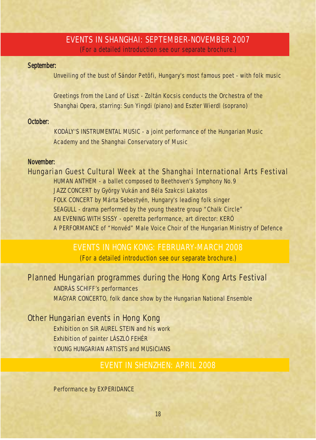### EVENTS IN SHANGHAI: SEPTEMBER-NOVEMBER 2007

(For a detailed introduction see our separate brochure.)

#### *September:*

Unveiling of the bust of Sándor Petõfi, Hungary's most famous poet - with folk music

*Greetings from the Land of Liszt* - Zoltán Kocsis conducts the Orchestra of the Shanghai Opera, starring: Sun Yingdi (piano) and Eszter Wierdl (soprano)

#### *October:*

KODÁLY'S INSTRUMENTAL MUSIC - a joint performance of the Hungarian Music Academy and the Shanghai Conservatory of Music

#### *November:*

Hungarian Guest Cultural Week at the Shanghai International Arts Festival *HUMAN ANTHEM* - a ballet composed to Beethoven's Symphony No.9 JAZZ CONCERT by György Vukán and Béla Szakcsi Lakatos FOLK CONCERT by Márta Sebestyén, Hungary's leading folk singer *SEAGULL* - drama performed by the young theatre group "Chalk Circle" *AN EVENING WITH SISSY* - operetta performance, art director: KERÓ A PERFORMANCE of "Honvéd" Male Voice Choir of the Hungarian Ministry of Defence

### EVENTS IN HONG KONG: FEBRUARY-MARCH 2008 (For a detailed introduction see our separate brochure.)

### Planned Hungarian programmes during the Hong Kong Arts Festival

ANDRÁS SCHIFF's performances MAGYAR CONCERTO, folk dance show by the Hungarian National Ensemble

### Other Hungarian events in Hong Kong

Exhibition on SIR AUREL STEIN and his work Exhibition of painter LÁSZLÓ FEHÉR YOUNG HUNGARIAN ARTISTS and MUSICIANS

### EVENT IN SHENZHEN: APRIL 2008

Performance by EXPERIDANCE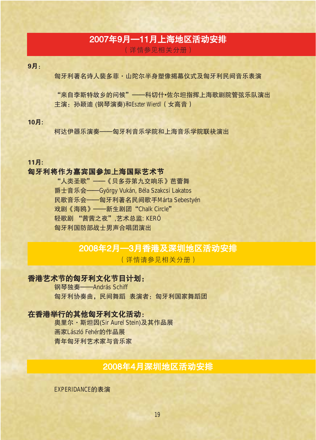# 2007年9月––11月上海地区活动安排

(详情参见相关分册)

9月:

匈牙利著名诗人裴多菲·山陀尔半身塑像揭幕仪式及匈牙利民间音乐表演

"来自李斯特故乡的问候"——科切什•佐尔坦指挥上海歌剧院管弦乐队演出 主演: 孙颖迪 (钢琴演奏)和Eszter Wierdl (女高音)

#### 10月:

柯达伊器乐演奏——匈牙利音乐学院和上海音乐学院联袂演出

11月:

#### 匈牙利将作为嘉宾国参加上海国际艺术节

"人类圣歌" ——《贝多芬第九交响乐》芭蕾舞 爵士音乐会——György Vukán, Béla Szakcsi Lakatos 民歌音乐会——匈牙利著名民间歌手Márta Sebestyén 戏剧《海鸥》——新生剧团"Chalk Circle" 轻歌剧 "茜茜之夜",艺术总监: KERÓ 匈牙利国防部战士男声合唱团演出

### 2008年2月–3月香港及深圳地区活动安排

(详情请参见相关分册)

#### 香港艺术节的匈牙利文化节目计划:

钢琴独奏——András Schiff 匈牙利协奏曲, 民间舞蹈 表演者: 匈牙利国家舞蹈团

#### 在香港举行的其他匈牙利文化活动:

奥里尔·斯坦因(Sir Aurel Stein)及其作品展 画家László Fehér的作品展 青年匈牙利艺术家与音乐家

# 2008年4月深圳地区活动安排

EXPERIDANCE的表